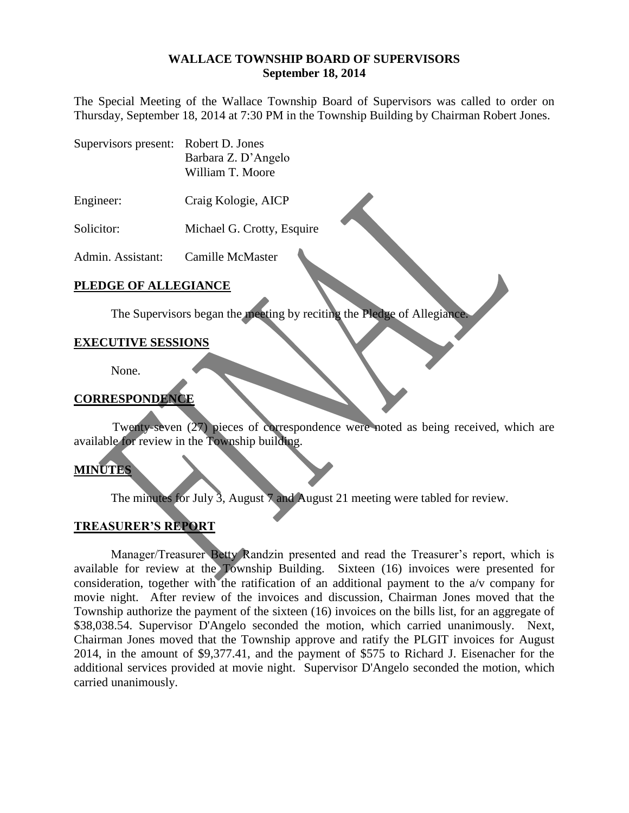#### **WALLACE TOWNSHIP BOARD OF SUPERVISORS September 18, 2014**

The Special Meeting of the Wallace Township Board of Supervisors was called to order on Thursday, September 18, 2014 at 7:30 PM in the Township Building by Chairman Robert Jones.

- Supervisors present: Robert D. Jones Barbara Z. D'Angelo William T. Moore
- Engineer: Craig Kologie, AICP
- Solicitor: Michael G. Crotty, Esquire

Admin. Assistant: Camille McMaster

## **PLEDGE OF ALLEGIANCE**

The Supervisors began the meeting by reciting the Pledge of Allegiance.

# **EXECUTIVE SESSIONS**

None.

# **CORRESPONDENCE**

Twenty-seven (27) pieces of correspondence were noted as being received, which are available for review in the Township building.

# **MINUTES**

The minutes for July 3, August 7 and August 21 meeting were tabled for review.

# **TREASURER'S REPORT**

Manager/Treasurer Betty Randzin presented and read the Treasurer's report, which is available for review at the Township Building. Sixteen (16) invoices were presented for consideration, together with the ratification of an additional payment to the a/v company for movie night. After review of the invoices and discussion, Chairman Jones moved that the Township authorize the payment of the sixteen (16) invoices on the bills list, for an aggregate of \$38,038.54. Supervisor D'Angelo seconded the motion, which carried unanimously. Next, Chairman Jones moved that the Township approve and ratify the PLGIT invoices for August 2014, in the amount of \$9,377.41, and the payment of \$575 to Richard J. Eisenacher for the additional services provided at movie night. Supervisor D'Angelo seconded the motion, which carried unanimously.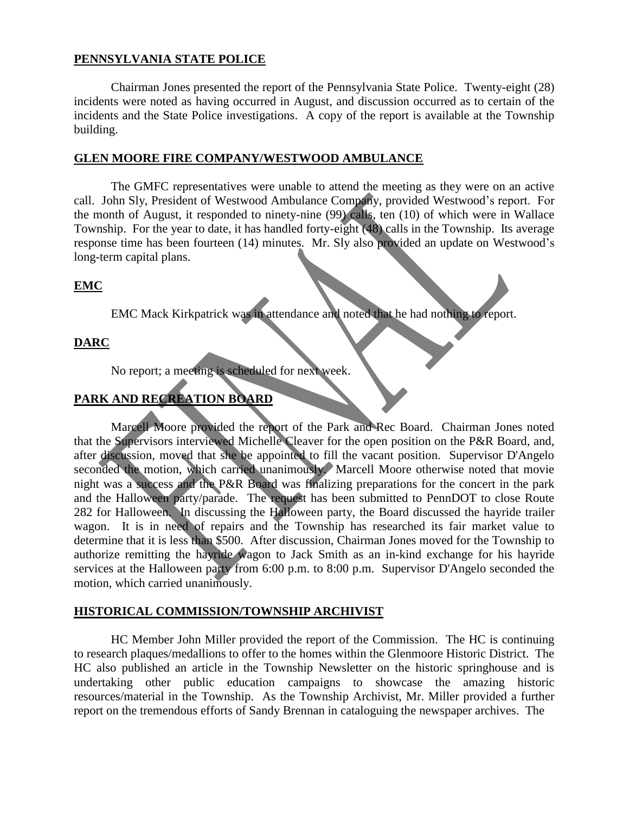## **PENNSYLVANIA STATE POLICE**

Chairman Jones presented the report of the Pennsylvania State Police. Twenty-eight (28) incidents were noted as having occurred in August, and discussion occurred as to certain of the incidents and the State Police investigations. A copy of the report is available at the Township building.

#### **GLEN MOORE FIRE COMPANY/WESTWOOD AMBULANCE**

The GMFC representatives were unable to attend the meeting as they were on an active call. John Sly, President of Westwood Ambulance Company, provided Westwood's report. For the month of August, it responded to ninety-nine (99) calls, ten (10) of which were in Wallace Township. For the year to date, it has handled forty-eight (48) calls in the Township. Its average response time has been fourteen (14) minutes. Mr. Sly also provided an update on Westwood's long-term capital plans.

## **EMC**

EMC Mack Kirkpatrick was in attendance and noted that he had nothing to report.

# **DARC**

No report; a meeting is scheduled for next week.

# **PARK AND RECREATION BOARD**

Marcell Moore provided the report of the Park and Rec Board. Chairman Jones noted that the Supervisors interviewed Michelle Cleaver for the open position on the P&R Board, and, after discussion, moved that she be appointed to fill the vacant position. Supervisor D'Angelo seconded the motion, which carried unanimously. Marcell Moore otherwise noted that movie night was a success and the P&R Board was finalizing preparations for the concert in the park and the Halloween party/parade. The request has been submitted to PennDOT to close Route 282 for Halloween. In discussing the Halloween party, the Board discussed the hayride trailer wagon. It is in need of repairs and the Township has researched its fair market value to determine that it is less than \$500. After discussion, Chairman Jones moved for the Township to authorize remitting the hayride wagon to Jack Smith as an in-kind exchange for his hayride services at the Halloween party from 6:00 p.m. to 8:00 p.m. Supervisor D'Angelo seconded the motion, which carried unanimously.

#### **HISTORICAL COMMISSION/TOWNSHIP ARCHIVIST**

HC Member John Miller provided the report of the Commission. The HC is continuing to research plaques/medallions to offer to the homes within the Glenmoore Historic District. The HC also published an article in the Township Newsletter on the historic springhouse and is undertaking other public education campaigns to showcase the amazing historic resources/material in the Township. As the Township Archivist, Mr. Miller provided a further report on the tremendous efforts of Sandy Brennan in cataloguing the newspaper archives. The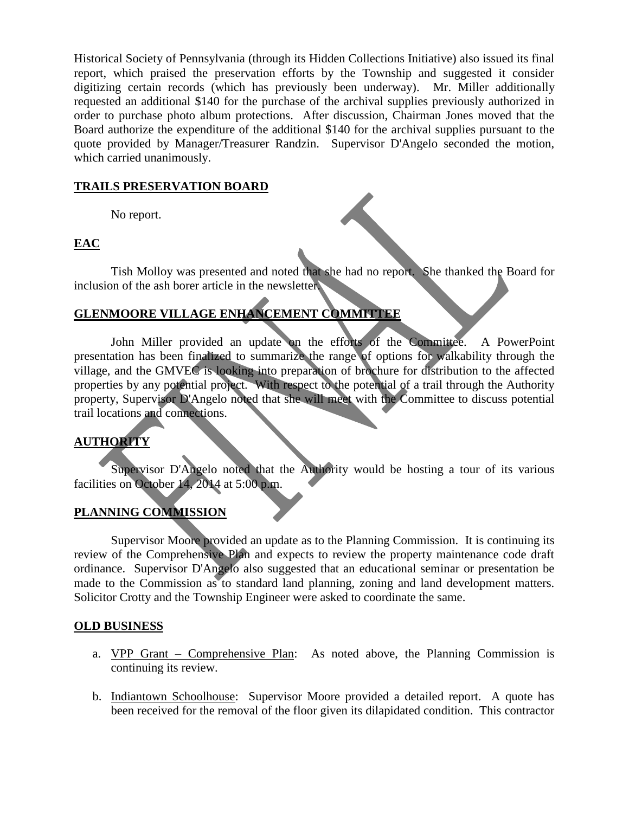Historical Society of Pennsylvania (through its Hidden Collections Initiative) also issued its final report, which praised the preservation efforts by the Township and suggested it consider digitizing certain records (which has previously been underway). Mr. Miller additionally requested an additional \$140 for the purchase of the archival supplies previously authorized in order to purchase photo album protections. After discussion, Chairman Jones moved that the Board authorize the expenditure of the additional \$140 for the archival supplies pursuant to the quote provided by Manager/Treasurer Randzin. Supervisor D'Angelo seconded the motion, which carried unanimously.

## **TRAILS PRESERVATION BOARD**

No report.

# **EAC**

Tish Molloy was presented and noted that she had no report. She thanked the Board for inclusion of the ash borer article in the newsletter.

# **GLENMOORE VILLAGE ENHANCEMENT COMMITTEE**

John Miller provided an update on the efforts of the Committee. A PowerPoint presentation has been finalized to summarize the range of options for walkability through the village, and the GMVEC is looking into preparation of brochure for distribution to the affected properties by any potential project. With respect to the potential of a trail through the Authority property, Supervisor D'Angelo noted that she will meet with the Committee to discuss potential trail locations and connections.

# **AUTHORITY**

Supervisor D'Angelo noted that the Authority would be hosting a tour of its various facilities on October 14, 2014 at 5:00 p.m.

# **PLANNING COMMISSION**

Supervisor Moore provided an update as to the Planning Commission. It is continuing its review of the Comprehensive Plan and expects to review the property maintenance code draft ordinance. Supervisor D'Angelo also suggested that an educational seminar or presentation be made to the Commission as to standard land planning, zoning and land development matters. Solicitor Crotty and the Township Engineer were asked to coordinate the same.

# **OLD BUSINESS**

- a. VPP Grant Comprehensive Plan: As noted above, the Planning Commission is continuing its review.
- b. Indiantown Schoolhouse: Supervisor Moore provided a detailed report. A quote has been received for the removal of the floor given its dilapidated condition. This contractor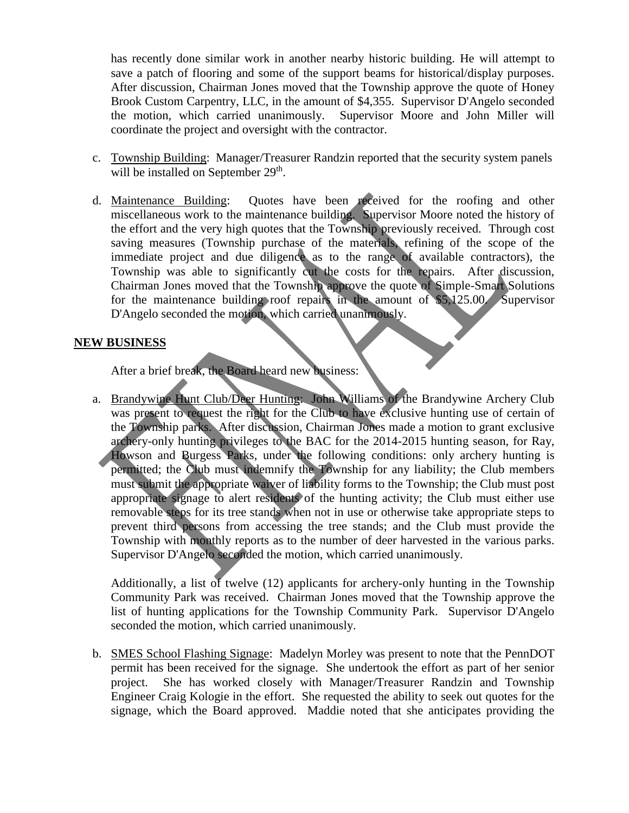has recently done similar work in another nearby historic building. He will attempt to save a patch of flooring and some of the support beams for historical/display purposes. After discussion, Chairman Jones moved that the Township approve the quote of Honey Brook Custom Carpentry, LLC, in the amount of \$4,355. Supervisor D'Angelo seconded the motion, which carried unanimously. Supervisor Moore and John Miller will coordinate the project and oversight with the contractor.

- c. Township Building: Manager/Treasurer Randzin reported that the security system panels will be installed on September 29<sup>th</sup>.
- d. Maintenance Building: Quotes have been received for the roofing and other miscellaneous work to the maintenance building. Supervisor Moore noted the history of the effort and the very high quotes that the Township previously received. Through cost saving measures (Township purchase of the materials, refining of the scope of the immediate project and due diligence as to the range of available contractors), the Township was able to significantly cut the costs for the repairs. After discussion, Chairman Jones moved that the Township approve the quote of Simple-Smart Solutions for the maintenance building roof repairs in the amount of \$5,125.00. Supervisor D'Angelo seconded the motion, which carried unanimously.

## **NEW BUSINESS**

After a brief break, the Board heard new business:

a. Brandywine Hunt Club/Deer Hunting: John Williams of the Brandywine Archery Club was present to request the right for the Club to have exclusive hunting use of certain of the Township parks. After discussion, Chairman Jones made a motion to grant exclusive archery-only hunting privileges to the BAC for the 2014-2015 hunting season, for Ray, Howson and Burgess Parks, under the following conditions: only archery hunting is permitted; the Club must indemnify the Township for any liability; the Club members must submit the appropriate waiver of liability forms to the Township; the Club must post appropriate signage to alert residents of the hunting activity; the Club must either use removable steps for its tree stands when not in use or otherwise take appropriate steps to prevent third persons from accessing the tree stands; and the Club must provide the Township with monthly reports as to the number of deer harvested in the various parks. Supervisor D'Angelo seconded the motion, which carried unanimously.

Additionally, a list of twelve (12) applicants for archery-only hunting in the Township Community Park was received. Chairman Jones moved that the Township approve the list of hunting applications for the Township Community Park. Supervisor D'Angelo seconded the motion, which carried unanimously.

b. SMES School Flashing Signage: Madelyn Morley was present to note that the PennDOT permit has been received for the signage. She undertook the effort as part of her senior project. She has worked closely with Manager/Treasurer Randzin and Township Engineer Craig Kologie in the effort. She requested the ability to seek out quotes for the signage, which the Board approved. Maddie noted that she anticipates providing the